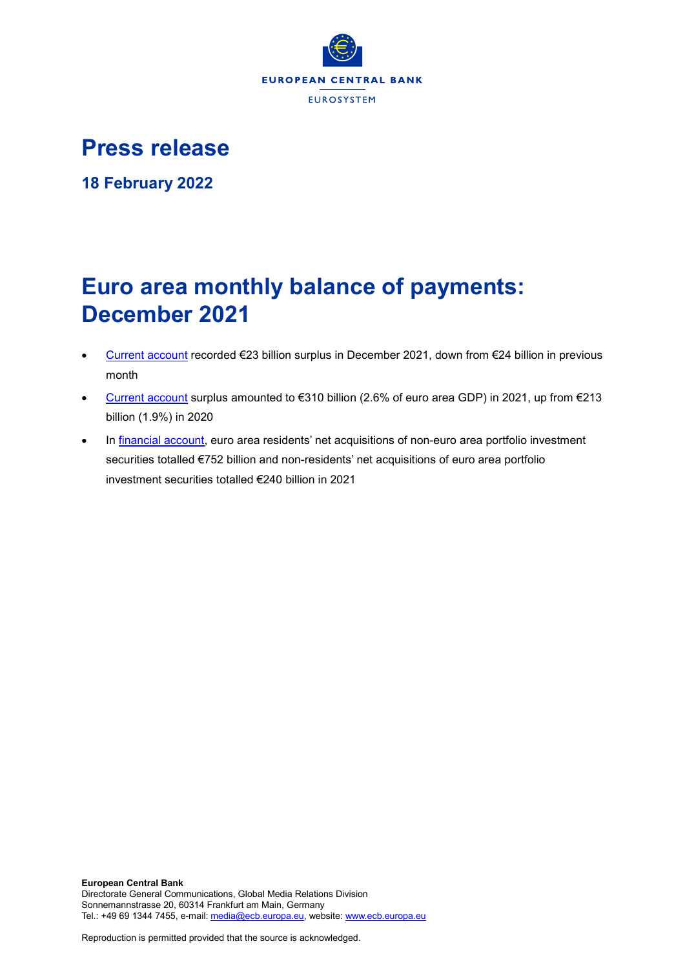

## **Press release**

**18 February 2022**

# **Euro area monthly balance of payments: December 2021**

- [Current account](http://sdw.ecb.europa.eu/browseSelection.do?df=true&ec=&dc=&oc=&pb=&rc=&dataSET=0&removeItem=D&removedItemList=&mergeFilter=&activeTab=BP6&showHide=&FREQ.243=M&ADJUSTMENT.243=Y&REF_AREA.243=I8&ACCOUNTING_ENTRY.243=B&INT_ACC_ITEM.243=CA&node=9688874&legendRef=reference) recorded €23 billion surplus in December 2021, down from €24 billion in previous month
- [Current account](http://sdw.ecb.europa.eu/browseSelection.do?df=true&ec=&dc=&oc=&pb=&rc=&dataSET=0&removeItem=D&removedItemList=&mergeFilter=&activeTab=BP6&showHide=&FREQ.243=M&ADJUSTMENT.243=Y&REF_AREA.243=I8&ACCOUNTING_ENTRY.243=B&INT_ACC_ITEM.243=CA&node=9688874&legendRef=reference) surplus amounted to €310 billion (2.6% of euro area GDP) in 2021, up from €213 billion (1.9%) in 2020
- In [financial account,](http://sdw.ecb.europa.eu/browseSelection.do?type=series&q=BP6.M.N.I8.W1.S1.S1.T.N.FA._T.F._Z.EUR._T._X.N+BP6.M.N.I8.W1.S1.S1.T.A.FA.P.F._Z.EUR._T.M.N+BP6.M.N.I8.W1.S1.S1.T.L.FA.P.F._Z.EUR._T.M.N&node=SEARCHRESULTS&ec=&oc=&rc=&cv=&pb=&dc=&df=) euro area residents' net acquisitions of non-euro area portfolio investment securities totalled €752 billion and non-residents' net acquisitions of euro area portfolio investment securities totalled €240 billion in 2021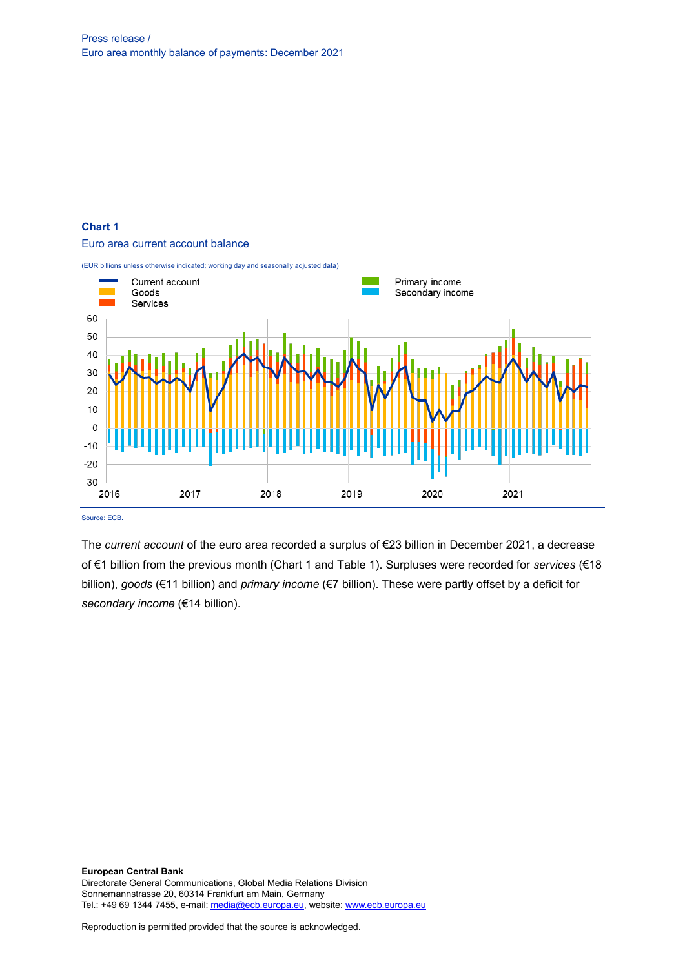## **Chart 1**

Euro area current account balance



Source: ECB.

The *current account* of the euro area recorded a surplus of €23 billion in December 2021, a decrease of €1 billion from the previous month (Chart 1 and Table 1). Surpluses were recorded for *services* (€18 billion), *goods* (€11 billion) and *primary income* (€7 billion). These were partly offset by a deficit for *secondary income* (€14 billion).

**European Central Bank** Directorate General Communications, Global Media Relations Division Sonnemannstrasse 20, 60314 Frankfurt am Main, Germany Tel.: +49 69 1344 7455, e-mail[: media@ecb.europa.eu,](mailto:media@ecb.europa.eu) website[: www.ecb.europa.eu](http://www.ecb.europa.eu/)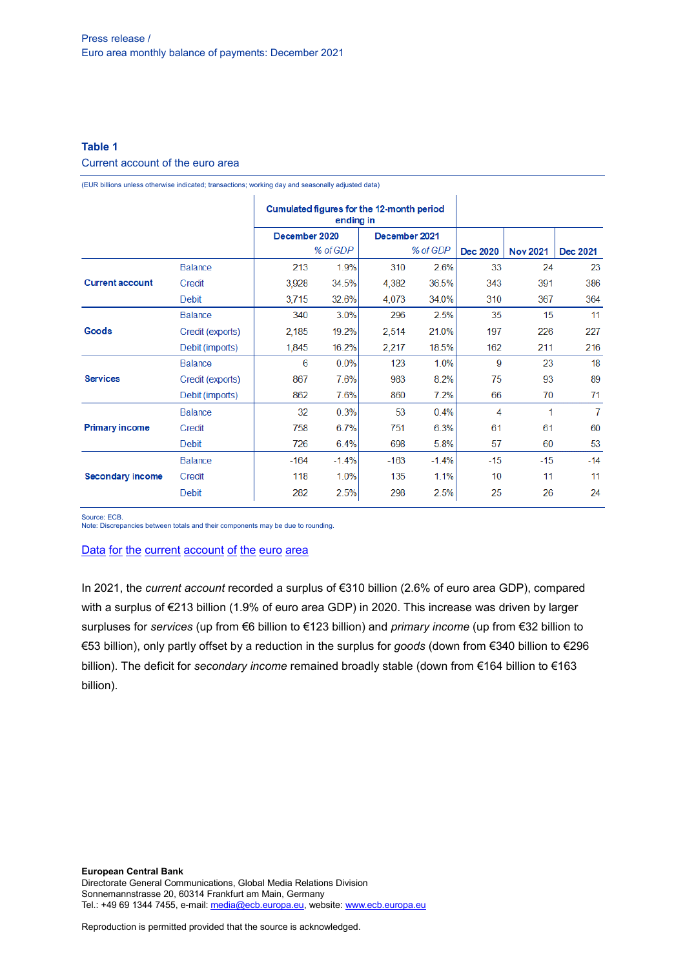## **Table 1**

## Current account of the euro area

(EUR billions unless otherwise indicated; transactions; working day and seasonally adjusted data)

|                         |                  | Cumulated figures for the 12-month period<br>ending in |         |               |          |       |                 |                |
|-------------------------|------------------|--------------------------------------------------------|---------|---------------|----------|-------|-----------------|----------------|
|                         |                  | December 2020                                          |         | December 2021 |          |       |                 |                |
|                         |                  | % of GDP                                               |         |               | % of GDP |       | <b>Nov 2021</b> | Dec 2021       |
|                         | <b>Balance</b>   | 213                                                    | 1.9%    | 310           | 2.6%     | 33    | 24              | 23             |
| <b>Current account</b>  | Credit           | 3,928                                                  | 34.5%   | 4,382         | 36.5%    | 343   | 391             | 386            |
|                         | <b>Debit</b>     | 3,715                                                  | 32.6%   | 4,073         | 34.0%    | 310   | 367             | 364            |
| Goods                   | <b>Balance</b>   | 340                                                    | 3.0%    | 296           | 2.5%     | 35    | 15              | 11             |
|                         | Credit (exports) | 2,185                                                  | 19.2%   | 2,514         | 21.0%    | 197   | 226             | 227            |
|                         | Debit (imports)  | 1,845                                                  | 16.2%   | 2,217         | 18.5%    | 162   | 211             | 216            |
| <b>Services</b>         | <b>Balance</b>   | 6                                                      | 0.0%    | 123           | 1.0%     | 9     | 23              | 18             |
|                         | Credit (exports) | 867                                                    | 7.6%    | 983           | 8.2%     | 75    | 93              | 89             |
|                         | Debit (imports)  | 862                                                    | 7.6%    | 860           | 7.2%     | 66    | 70              | 71             |
| <b>Primary income</b>   | <b>Balance</b>   | 32                                                     | 0.3%    | 53            | 0.4%     | 4     | 1               | $\overline{7}$ |
|                         | Credit           | 758                                                    | 6.7%    | 751           | 6.3%     | 61    | 61              | 60             |
|                         | <b>Debit</b>     | 726                                                    | 6.4%    | 698           | 5.8%     | 57    | 60              | 53             |
|                         | <b>Balance</b>   | $-164$                                                 | $-1.4%$ | $-163$        | $-1.4%$  | $-15$ | $-15$           | $-14$          |
| <b>Secondary income</b> | Credit           | 118                                                    | 1.0%    | 135           | 1.1%     | 10    | 11              | 11             |
|                         | <b>Debit</b>     | 282                                                    | 2.5%    | 298           | 2.5%     | 25    | 26              | 24             |

Source: ECB.

Note: Discrepancies between totals and their components may be due to rounding.

#### Data for the current [account](http://sdw.ecb.europa.eu/browseSelection.do?df=true&ec=&dc=&oc=&pb=&rc=&DATASET=0&removeItem=&removedItemList=&mergeFilter=&activeTab=&showHide=&FREQ.243=M&ADJUSTMENT.243=Y&REF_AREA.243=I8&ACCOUNTING_ENTRY.243=B&ACCOUNTING_ENTRY.243=C&ACCOUNTING_ENTRY.243=D&INT_ACC_ITEM.243=CA&INT_ACC_ITEM.243=G&INT_ACC_ITEM.243=IN1&INT_ACC_ITEM.243=IN2&INT_ACC_ITEM.243=S&node=9688874&legendRef=reference&legendNor=) of the euro area

In 2021, the *current account* recorded a surplus of €310 billion (2.6% of euro area GDP), compared with a surplus of €213 billion (1.9% of euro area GDP) in 2020. This increase was driven by larger surpluses for *services* (up from €6 billion to €123 billion) and *primary income* (up from €32 billion to €53 billion), only partly offset by a reduction in the surplus for *goods* (down from €340 billion to €296 billion). The deficit for *secondary income* remained broadly stable (down from €164 billion to €163 billion).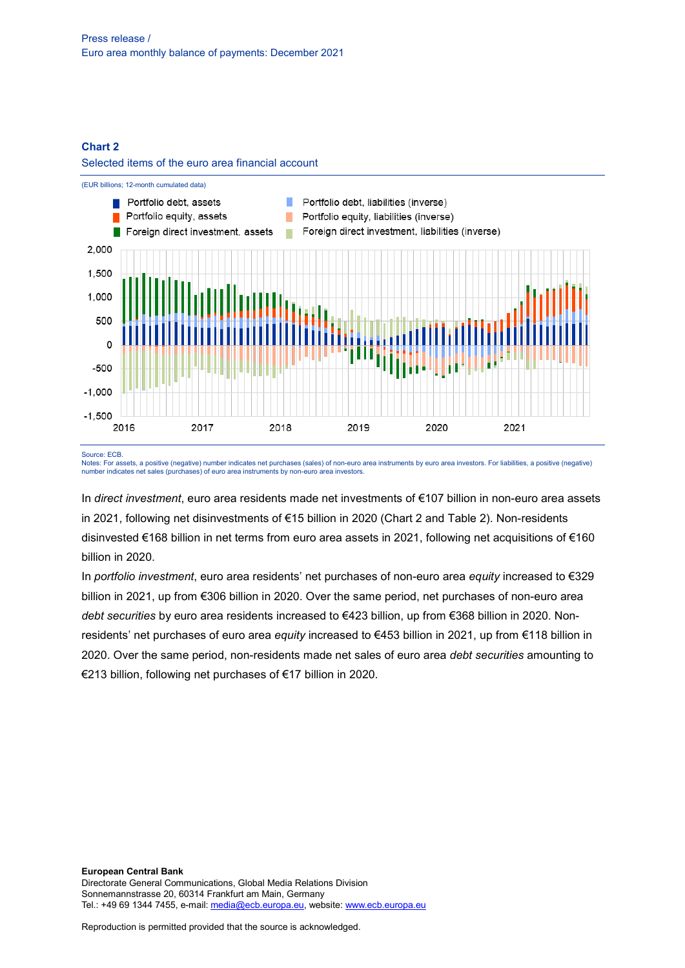## **Chart 2**

#### Selected items of the euro area financial account



Source: ECB.

Notes: For assets, a positive (negative) number indicates net purchases (sales) of non-euro area instruments by euro area investors. For liabilities, a positive (negative) number indicates net sales (purchases) of euro area instruments by non-euro area investors.

In *direct investment*, euro area residents made net investments of €107 billion in non-euro area assets in 2021, following net disinvestments of €15 billion in 2020 (Chart 2 and Table 2). Non-residents disinvested €168 billion in net terms from euro area assets in 2021, following net acquisitions of €160 billion in 2020.

In *portfolio investment*, euro area residents' net purchases of non-euro area *equity* increased to €329 billion in 2021, up from €306 billion in 2020. Over the same period, net purchases of non-euro area *debt securities* by euro area residents increased to €423 billion, up from €368 billion in 2020. Nonresidents' net purchases of euro area *equity* increased to €453 billion in 2021, up from €118 billion in 2020. Over the same period, non-residents made net sales of euro area *debt securities* amounting to €213 billion, following net purchases of €17 billion in 2020.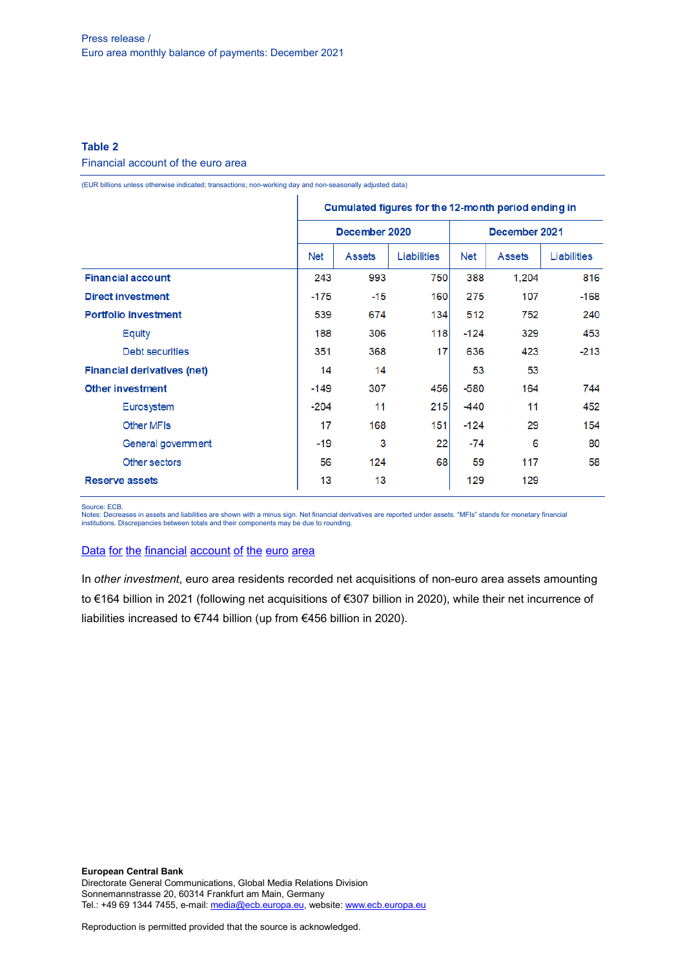## **Table 2**

#### Financial account of the euro area

(EUR billions unless otherwise indicated; transactions; non-working day and non-seasonally adjusted data)

|                                    | Cumulated figures for the 12-month period ending in |               |                    |               |               |             |  |
|------------------------------------|-----------------------------------------------------|---------------|--------------------|---------------|---------------|-------------|--|
|                                    |                                                     | December 2020 |                    | December 2021 |               |             |  |
|                                    | Net                                                 | <b>Assets</b> | <b>Liabilities</b> | <b>Net</b>    | <b>Assets</b> | Liabilities |  |
| <b>Financial account</b>           | 243                                                 | 993           | 750                | 388           | 1.204         | 816         |  |
| <b>Direct investment</b>           | $-175$                                              | $-15$         | 160                | 275           | 107           | $-168$      |  |
| <b>Portfolio investment</b>        |                                                     | 674           | 134                | 512           | 752           | 240         |  |
| Equity                             | 188                                                 | 306           | 118                | $-124$        | 329           | 453         |  |
| Debt securities                    | 351                                                 | 368           | 17                 | 636           | 423           | $-213$      |  |
| <b>Financial derivatives (net)</b> | 14                                                  | 14            |                    | 53            | 53            |             |  |
| Other investment                   | -149                                                | 307           | 456                | $-580$        | 164           | 744         |  |
| Eurosystem                         | $-204$                                              | 11            | 215                | -440          | 11            | 452         |  |
| <b>Other MFIs</b>                  | 17                                                  | 168           | 151                | $-124$        | 29            | 154         |  |
| General government                 | $-19$                                               | 3             | 22                 | -74           | 6             | 80          |  |
| Other sectors                      | 56                                                  | 124           | 68                 | 59            | 117           | 58          |  |
| <b>Reserve assets</b>              |                                                     | 13            |                    | 129           | 129           |             |  |

Source: ECB.

Notes: Decreases in assets and liabilities are shown with a minus sign. Net financial derivatives are reported under assets. "MFIs" stands for monetary financial institutions. Discrepancies between totals and their components may be due to rounding.

## Data for the [financial](http://sdw.ecb.europa.eu/browseSelection.do?df=true&ec=&dc=&oc=&pb=&rc=&DATASET=0&removeItem=&removedItemList=&mergeFilter=&activeTab=&showHide=&FREQ.243=M&REF_AREA.243=I8&REF_SECTOR.243=S1&REF_SECTOR.243=S121&REF_SECTOR.243=S12T&REF_SECTOR.243=S13&REF_SECTOR.243=S1P&COUNTERPART_SECTOR.243=S1&FLOW_STOCK_ENTRY.243=T&ACCOUNTING_ENTRY.243=A&ACCOUNTING_ENTRY.243=L&ACCOUNTING_ENTRY.243=N&FUNCTIONAL_CAT.243=D&FUNCTIONAL_CAT.243=O&FUNCTIONAL_CAT.243=P&FUNCTIONAL_CAT.243=R&INSTR_ASSET.243=F&INSTR_ASSET.243=F3&INSTR_ASSET.243=F5&INSTR_ASSET.243=FL&MATURITY.243=T&MATURITY.243=_Z&node=9688874&legendRef=reference&legendNor=) account of the euro area

In *other investment*, euro area residents recorded net acquisitions of non-euro area assets amounting to €164 billion in 2021 (following net acquisitions of €307 billion in 2020), while their net incurrence of liabilities increased to €744 billion (up from €456 billion in 2020).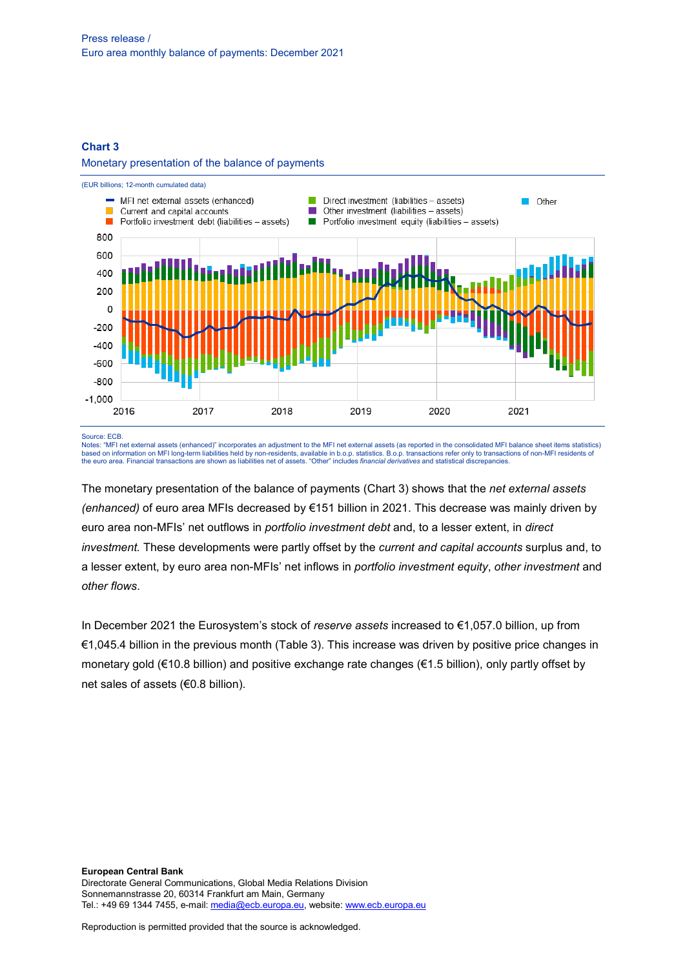#### **Chart 3**

#### Monetary presentation of the balance of payments



Source: ECB.

Notes: "MFI net external assets (enhanced)" incorporates an adjustment to the MFI net external assets (as reported in the consolidated MFI balance sheet items statistics) based on information on MFI long-term liabilities held by non-residents, available in b.o.p. statistics. B.o.p. transactions refer only to transactions of non-MFI residents of<br>the euro area. Financial transactions are show

The monetary presentation of the balance of payments (Chart 3) shows that the *net external assets (enhanced)* of euro area MFIs decreased by €151 billion in 2021. This decrease was mainly driven by euro area non-MFIs' net outflows in *portfolio investment debt* and, to a lesser extent, in *direct investment.* These developments were partly offset by the *current and capital accounts* surplus and, to a lesser extent, by euro area non-MFIs' net inflows in *portfolio investment equity*, *other investment* and *other flows*.

In December 2021 the Eurosystem's stock of *reserve assets* increased to €1,057.0 billion, up from €1,045.4 billion in the previous month (Table 3). This increase was driven by positive price changes in monetary gold (€10.8 billion) and positive exchange rate changes (€1.5 billion), only partly offset by net sales of assets (€0.8 billion).

**European Central Bank** Directorate General Communications, Global Media Relations Division Sonnemannstrasse 20, 60314 Frankfurt am Main, Germany Tel.: +49 69 1344 7455, e-mail[: media@ecb.europa.eu,](mailto:media@ecb.europa.eu) website[: www.ecb.europa.eu](http://www.ecb.europa.eu/)